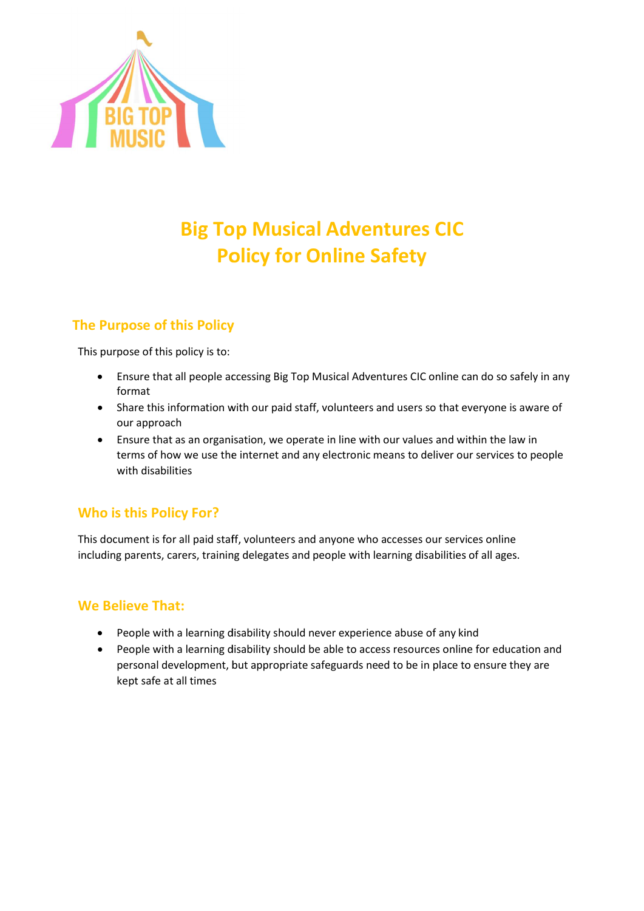

# Big Top Musical Adventures CIC Policy for Online Safety

# The Purpose of this Policy

This purpose of this policy is to:

- Ensure that all people accessing Big Top Musical Adventures CIC online can do so safely in any format
- Share this information with our paid staff, volunteers and users so that everyone is aware of our approach
- Ensure that as an organisation, we operate in line with our values and within the law in terms of how we use the internet and any electronic means to deliver our services to people with disabilities • Share this information with our paid staff, volunteers and users so that everyone is aware of our approach<br>• Ensure that as an organisation, we operate in line with our values and within the law in<br>terms of how we use th

# Who is this Policy For?

This document is for all paid staff, volunteers and anyone who accesses our services online including parents, carers, training delegates and people with learning disabilities of all ages.

## We Believe That:

- uding parents, carers, training delegates and people with learning disabilities of<br>• **Believe That:**<br>• People with a learning disability should never experience abuse of any kind
- People with a learning disability should be able to access resources online for education and People with a learning disability should be able to access resources online for education ar<br>personal development, but appropriate safeguards need to be in place to ensure they are kept safe at all times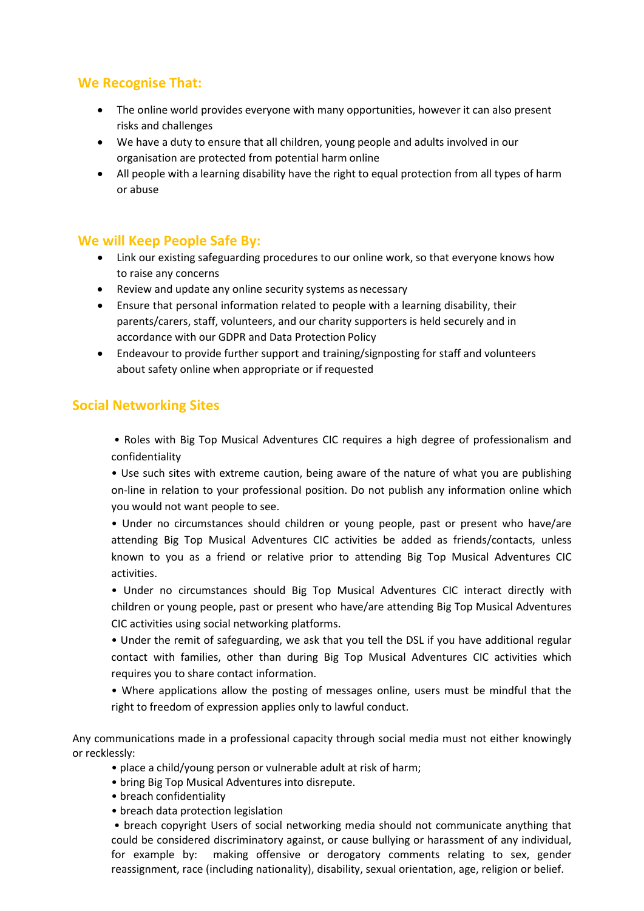## We Recognise That:

- The online world provides everyone with many opportunities, however it can also present risks and challenges
- We have a duty to ensure that all children, young people and adults involved in our organisation are protected from potential harm online
- All people with a learning disability have the right to equal protection from all types of harm or abuse

### We will Keep People Safe By:

- Link our existing safeguarding procedures to our online work, so that everyone knows how to raise any concerns
- Review and update any online security systems as necessary
- Ensure that personal information related to people with a learning disability, their parents/carers, staff, volunteers, and our charity supporters is held securely and in accordance with our GDPR and Data Protection Policy
- Endeavour to provide further support and training/signposting for staff and volunteers about safety online when appropriate or if requested

#### Social Networking Sites

 • Roles with Big Top Musical Adventures CIC requires a high degree of professionalism and confidentiality

• Use such sites with extreme caution, being aware of the nature of what you are publishing on-line in relation to your professional position. Do not publish any information online which you would not want people to see.

• Under no circumstances should children or young people, past or present who have/are attending Big Top Musical Adventures CIC activities be added as friends/contacts, unless known to you as a friend or relative prior to attending Big Top Musical Adventures CIC activities.

• Under no circumstances should Big Top Musical Adventures CIC interact directly with children or young people, past or present who have/are attending Big Top Musical Adventures CIC activities using social networking platforms.

• Under the remit of safeguarding, we ask that you tell the DSL if you have additional regular contact with families, other than during Big Top Musical Adventures CIC activities which requires you to share contact information.

• Where applications allow the posting of messages online, users must be mindful that the right to freedom of expression applies only to lawful conduct.

Any communications made in a professional capacity through social media must not either knowingly or recklessly:

- place a child/young person or vulnerable adult at risk of harm;
- bring Big Top Musical Adventures into disrepute.
- breach confidentiality
- breach data protection legislation

 • breach copyright Users of social networking media should not communicate anything that could be considered discriminatory against, or cause bullying or harassment of any individual, for example by: making offensive or derogatory comments relating to sex, gender reassignment, race (including nationality), disability, sexual orientation, age, religion or belief.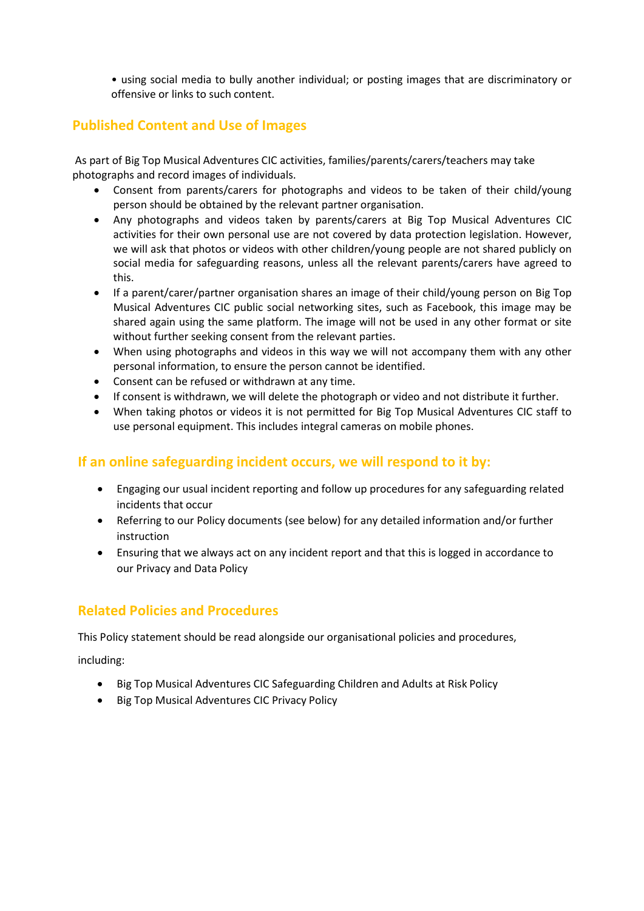• using social media to bully another individual; or posting images that are discriminatory or offensive or links to such content.

## Published Content and Use of Images

 As part of Big Top Musical Adventures CIC activities, families/parents/carers/teachers may take photographs and record images of individuals.

- Consent from parents/carers for photographs and videos to be taken of their child/young person should be obtained by the relevant partner organisation.
- Any photographs and videos taken by parents/carers at Big Top Musical Adventures CIC activities for their own personal use are not covered by data protection legislation. However, we will ask that photos or videos with other children/young people are not shared publicly on social media for safeguarding reasons, unless all the relevant parents/carers have agreed to this.
- If a parent/carer/partner organisation shares an image of their child/young person on Big Top Musical Adventures CIC public social networking sites, such as Facebook, this image may be shared again using the same platform. The image will not be used in any other format or site without further seeking consent from the relevant parties.
- When using photographs and videos in this way we will not accompany them with any other personal information, to ensure the person cannot be identified.
- Consent can be refused or withdrawn at any time.
- If consent is withdrawn, we will delete the photograph or video and not distribute it further.
- When taking photos or videos it is not permitted for Big Top Musical Adventures CIC staff to use personal equipment. This includes integral cameras on mobile phones.

## If an online safeguarding incident occurs, we will respond to it by:

- Engaging our usual incident reporting and follow up procedures for any safeguarding related incidents that occur
- Referring to our Policy documents (see below) for any detailed information and/or further instruction
- Ensuring that we always act on any incident report and that this is logged in accordance to our Privacy and Data Policy

## Related Policies and Procedures

This Policy statement should be read alongside our organisational policies and procedures,

including:

- Big Top Musical Adventures CIC Safeguarding Children and Adults at Risk Policy
- Big Top Musical Adventures CIC Privacy Policy